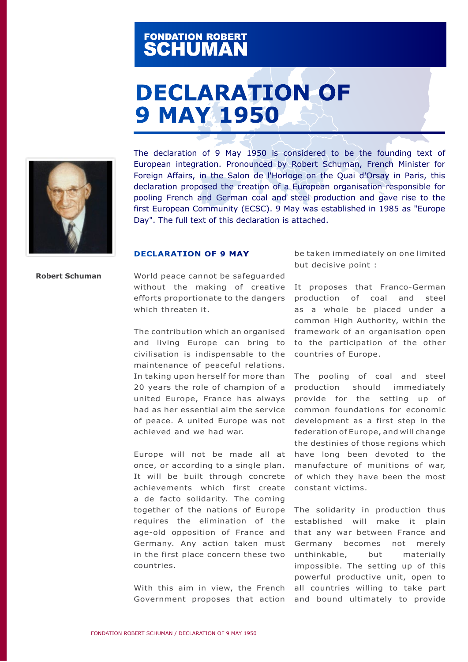## FONDATION ROBERT<br>**SCHUMAN**

## **DECLARATION OF 9 MAY 1950**



The declaration of 9 May 1950 is considered to be the founding text of European integration. Pronounced by Robert Schuman, French Minister for Foreign Affairs, in the Salon de l'Horloge on the Quai d'Orsay in Paris, this declaration proposed the creation of a European organisation responsible for pooling French and German coal and steel production and gave rise to the first European Community (ECSC). 9 May was established in 1985 as "Europe Day". The full text of this declaration is attached.

## **DECLARATION OF 9 MAY**

**Robert Schuman**

World peace cannot be safeguarded without the making of creative efforts proportionate to the dangers which threaten it.

The contribution which an organised and living Europe can bring to civilisation is indispensable to the maintenance of peaceful relations. In taking upon herself for more than 20 years the role of champion of a united Europe, France has always had as her essential aim the service of peace. A united Europe was not achieved and we had war.

Europe will not be made all at once, or according to a single plan. It will be built through concrete achievements which first create a de facto solidarity. The coming together of the nations of Europe The solidarity in production thus requires the elimination of the age-old opposition of France and Germany. Any action taken must in the first place concern these two countries.

With this aim in view, the French

be taken immediately on one limited but decisive point :

It proposes that Franco-German production of coal and steel as a whole be placed under a common High Authority, within the framework of an organisation open to the participation of the other countries of Europe.

The pooling of coal and steel production should immediately provide for the setting up of common foundations for economic development as a first step in the federation of Europe, and will change the destinies of those regions which have long been devoted to the manufacture of munitions of war, of which they have been the most constant victims.

Government proposes that action and bound ultimately to provide established will make it plain that any war between France and Germany becomes not merely unthinkable, but materially impossible. The setting up of this powerful productive unit, open to all countries willing to take part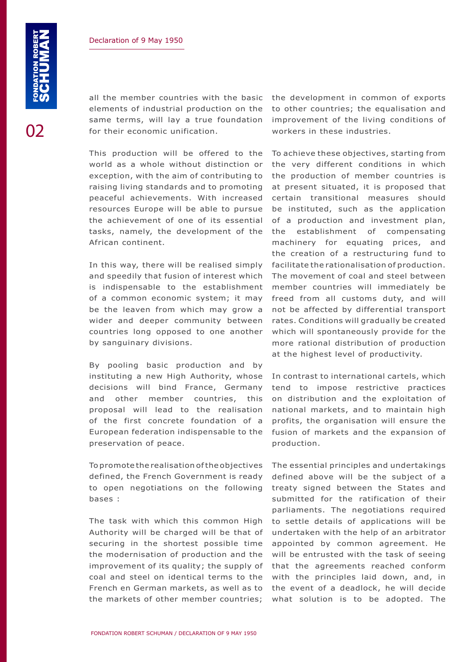02

elements of industrial production on the same terms, will lay a true foundation for their economic unification.

This production will be offered to the world as a whole without distinction or exception, with the aim of contributing to raising living standards and to promoting peaceful achievements. With increased resources Europe will be able to pursue the achievement of one of its essential tasks, namely, the development of the African continent.

In this way, there will be realised simply and speedily that fusion of interest which is indispensable to the establishment of a common economic system; it may be the leaven from which may grow a wider and deeper community between countries long opposed to one another by sanguinary divisions.

By pooling basic production and by instituting a new High Authority, whose decisions will bind France, Germany and other member countries, this proposal will lead to the realisation of the first concrete foundation of a European federation indispensable to the preservation of peace.

To promote the realisation of the objectives defined, the French Government is ready to open negotiations on the following bases :

The task with which this common High Authority will be charged will be that of securing in the shortest possible time the modernisation of production and the improvement of its quality; the supply of coal and steel on identical terms to the French en German markets, as well as to the markets of other member countries;

all the member countries with the basic the development in common of exports to other countries; the equalisation and improvement of the living conditions of workers in these industries.

> To achieve these objectives, starting from the very different conditions in which the production of member countries is at present situated, it is proposed that certain transitional measures should be instituted, such as the application of a production and investment plan, the establishment of compensating machinery for equating prices, and the creation of a restructuring fund to facilitate the rationalisation of production. The movement of coal and steel between member countries will immediately be freed from all customs duty, and will not be affected by differential transport rates. Conditions will gradually be created which will spontaneously provide for the more rational distribution of production at the highest level of productivity.

> In contrast to international cartels, which tend to impose restrictive practices on distribution and the exploitation of national markets, and to maintain high profits, the organisation will ensure the fusion of markets and the expansion of production.

> The essential principles and undertakings defined above will be the subject of a treaty signed between the States and submitted for the ratification of their parliaments. The negotiations required to settle details of applications will be undertaken with the help of an arbitrator appointed by common agreement. He will be entrusted with the task of seeing that the agreements reached conform with the principles laid down, and, in the event of a deadlock, he will decide what solution is to be adopted. The